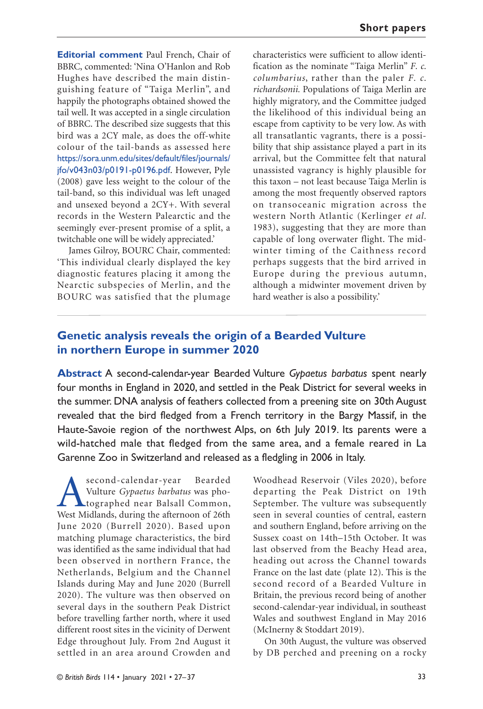**Editorial comment** Paul French, Chair of BBRC, commented: 'Nina O'Hanlon and Rob Hughes have described the main distinguishing feature of "Taiga Merlin", and happily the photographs obtained showed the tail well. It was accepted in a single circulation of BBRC. The described size suggests that this bird was a 2CY male, as does the off-white colour of the tail-bands as assessed here https://sora.unm.edu/sites/default/files/journals/ jfo/v043n03/p0191-p0196.pdf. However, Pyle (2008) gave less weight to the colour of the tail-band, so this individual was left unaged and unsexed beyond a 2CY+. With several records in the Western Palearctic and the seemingly ever-present promise of a split, a twitchable one will be widely appreciated.'

James Gilroy, BOURC Chair, commented: 'This individual clearly displayed the key diagnostic features placing it among the Nearctic subspecies of Merlin, and the BOURC was satisfied that the plumage characteristics were sufficient to allow identification as the nominate "Taiga Merlin" *F. c. columbarius*, rather than the paler *F. c. richardsonii.* Populations of Taiga Merlin are highly migratory, and the Committee judged the likelihood of this individual being an escape from captivity to be very low. As with all transatlantic vagrants, there is a possibility that ship assistance played a part in its arrival, but the Committee felt that natural unassisted vagrancy is highly plausible for this taxon – not least because Taiga Merlin is among the most frequently observed raptors on transoceanic migration across the western North Atlantic (Kerlinger *et al.* 1983), suggesting that they are more than capable of long overwater flight. The midwinter timing of the Caithness record perhaps suggests that the bird arrived in Europe during the previous autumn, although a midwinter movement driven by hard weather is also a possibility.'

# **Genetic analysis reveals the origin of a Bearded Vulture in northern Europe in summer 2020**

**Abstract** A second-calendar-year Bearded Vulture *Gypaetus barbatus* spent nearly four months in England in 2020, and settled in the Peak District for several weeks in the summer. DNA analysis of feathers collected from a preening site on 30th August revealed that the bird fledged from a French territory in the Bargy Massif, in the Haute-Savoie region of the northwest Alps, on 6th July 2019. Its parents were a wild-hatched male that fledged from the same area, and a female reared in La Garenne Zoo in Switzerland and released as a fledgling in 2006 in Italy.

Second-calendar-year Bearded<br>Vulture *Gypaetus barbatus* was pho-<br>West Midlands, during the afternoon of 26th Vulture *Gypaetus barbatus* was photographed near Balsall Common, West Midlands, during the afternoon of 26th June 2020 (Burrell 2020). Based upon matching plumage characteristics, the bird was identified as the same individual that had been observed in northern France, the Netherlands, Belgium and the Channel Islands during May and June 2020 (Burrell 2020). The vulture was then observed on several days in the southern Peak District before travelling farther north, where it used different roost sites in the vicinity of Derwent Edge throughout July. From 2nd August it settled in an area around Crowden and

Woodhead Reservoir (Viles 2020), before departing the Peak District on 19th September. The vulture was subsequently seen in several counties of central, eastern and southern England, before arriving on the Sussex coast on 14th–15th October. It was last observed from the Beachy Head area, heading out across the Channel towards France on the last date (plate 12). This is the second record of a Bearded Vulture in Britain, the previous record being of another second-calendar-year individual, in southeast Wales and southwest England in May 2016 (McInerny & Stoddart 2019).

On 30th August, the vulture was observed by DB perched and preening on a rocky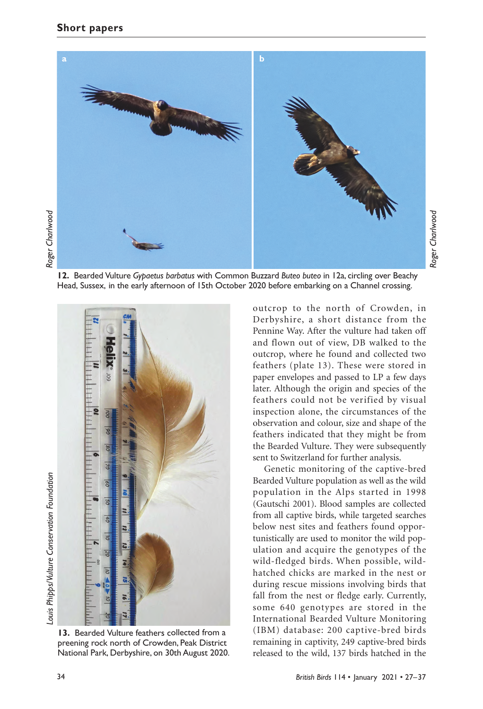

**12.** Bearded Vulture *Gypaetus barbatus* with Common Buzzard *Buteo buteo* in 12a, circling over Beachy Head, Sussex, in the early afternoon of 15th October 2020 before embarking on a Channel crossing.



**13.** Bearded Vulture feathers collected from a preening rock north of Crowden, Peak District National Park, Derbyshire, on 30th August 2020.

outcrop to the north of Crowden, in Derbyshire, a short distance from the Pennine Way. After the vulture had taken off and flown out of view, DB walked to the outcrop, where he found and collected two feathers (plate 13). These were stored in paper envelopes and passed to LP a few days later. Although the origin and species of the feathers could not be verified by visual inspection alone, the circumstances of the observation and colour, size and shape of the feathers indicated that they might be from the Bearded Vulture. They were subsequently sent to Switzerland for further analysis.

*Roger Charlwood*

Roger Charlwood

Genetic monitoring of the captive-bred Bearded Vulture population as well as the wild population in the Alps started in 1998 (Gautschi 2001). Blood samples are collected from all captive birds, while targeted searches below nest sites and feathers found opportunistically are used to monitor the wild population and acquire the genotypes of the wild-fledged birds. When possible, wildhatched chicks are marked in the nest or during rescue missions involving birds that fall from the nest or fledge early. Currently, some 640 genotypes are stored in the International Bearded Vulture Monitoring (IBM) database: 200 captive-bred birds remaining in captivity, 249 captive-bred birds released to the wild, 137 birds hatched in the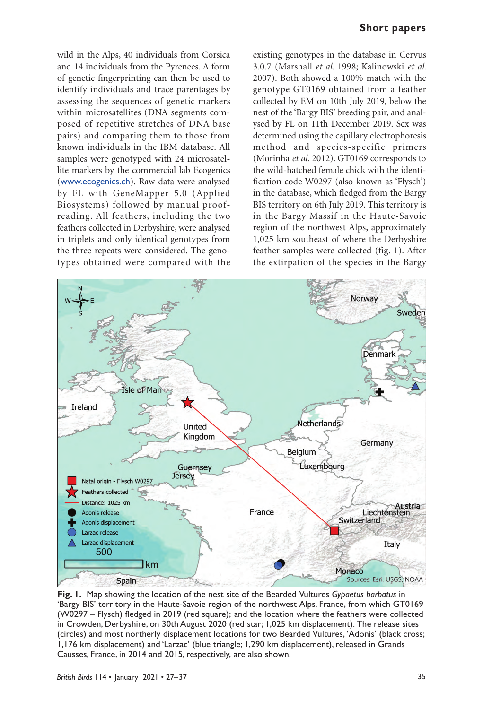wild in the Alps, 40 individuals from Corsica and 14 individuals from the Pyrenees. A form of genetic fingerprinting can then be used to identify individuals and trace parentages by assessing the sequences of genetic markers within microsatellites (DNA segments composed of repetitive stretches of DNA base pairs) and comparing them to those from known individuals in the IBM database. All samples were genotyped with 24 microsatellite markers by the commercial lab Ecogenics (www.ecogenics.ch). Raw data were analysed by FL with GeneMapper 5.0 (Applied Biosystems) followed by manual proofreading. All feathers, including the two feathers collected in Derbyshire, were analysed in triplets and only identical genotypes from the three repeats were considered. The genotypes obtained were compared with the

existing genotypes in the database in Cervus 3.0.7 (Marshall *et al*. 1998; Kalinowski *et al*. 2007). Both showed a 100% match with the genotype GT0169 obtained from a feather collected by EM on 10th July 2019, below the nest of the 'Bargy BIS' breeding pair, and analysed by FL on 11th December 2019. Sex was determined using the capillary electrophoresis method and species-specific primers (Morinha *et al.* 2012). GT0169 corresponds to the wild-hatched female chick with the identification code W0297 (also known as 'Flysch') in the database, which fledged from the Bargy BIS territory on 6th July 2019. This territory is in the Bargy Massif in the Haute-Savoie region of the northwest Alps, approximately 1,025 km southeast of where the Derbyshire feather samples were collected (fig. 1). After the extirpation of the species in the Bargy



**Fig. 1.** Map showing the location of the nest site of the Bearded Vultures *Gypaetus barbatus* in 'Bargy BIS' territory in the Haute-Savoie region of the northwest Alps, France, from which GT0169 (W0297 – Flysch) fledged in 2019 (red square); and the location where the feathers were collected in Crowden, Derbyshire, on 30th August 2020 (red star; 1,025 km displacement). The release sites (circles) and most northerly displacement locations for two Bearded Vultures, 'Adonis' (black cross; 1,176 km displacement) and 'Larzac' (blue triangle; 1,290 km displacement), released in Grands Causses, France, in 2014 and 2015, respectively, are also shown.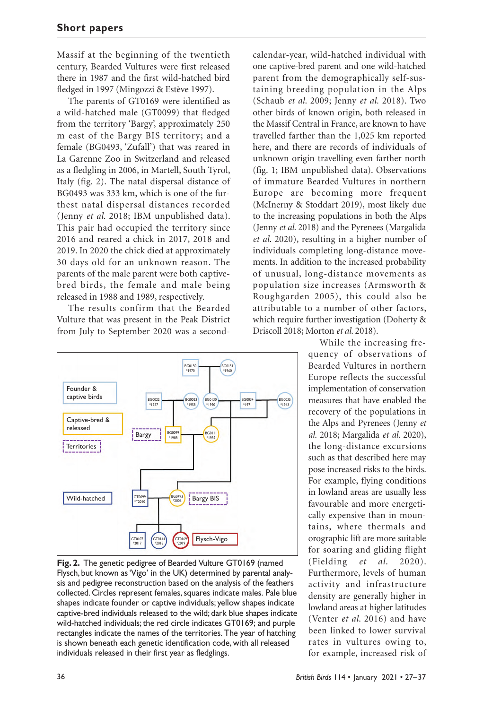Massif at the beginning of the twentieth century, Bearded Vultures were first released there in 1987 and the first wild-hatched bird fledged in 1997 (Mingozzi & Estève 1997).

The parents of GT0169 were identified as a wild-hatched male (GT0099) that fledged from the territory 'Bargy', approximately 250 m east of the Bargy BIS territory; and a female (BG0493, 'Zufall') that was reared in La Garenne Zoo in Switzerland and released as a fledgling in 2006, in Martell, South Tyrol, Italy (fig. 2). The natal dispersal distance of BG0493 was 333 km, which is one of the furthest natal dispersal distances recorded (Jenny *et al*. 2018; IBM unpublished data). This pair had occupied the territory since 2016 and reared a chick in 2017, 2018 and 2019. In 2020 the chick died at approximately 30 days old for an unknown reason. The parents of the male parent were both captivebred birds, the female and male being released in 1988 and 1989, respectively.

The results confirm that the Bearded Vulture that was present in the Peak District from July to September 2020 was a second-



**Fig. 2.** The genetic pedigree of Bearded Vulture GT0169 (named Flysch, but known as 'Vigo' in the UK) determined by parental analysis and pedigree reconstruction based on the analysis of the feathers collected. Circles represent females, squares indicate males. Pale blue shapes indicate founder or captive individuals; yellow shapes indicate captive-bred individuals released to the wild; dark blue shapes indicate wild-hatched individuals; the red circle indicates GT0169; and purple rectangles indicate the names of the territories. The year of hatching is shown beneath each genetic identification code, with all released individuals released in their first year as fledglings.

calendar-year, wild-hatched individual with one captive-bred parent and one wild-hatched parent from the demographically self-sustaining breeding population in the Alps (Schaub *et al*. 2009; Jenny *et al.* 2018). Two other birds of known origin, both released in the Massif Central in France, are known to have travelled farther than the 1,025 km reported here, and there are records of individuals of unknown origin travelling even farther north (fig. 1; IBM unpublished data). Observations of immature Bearded Vultures in northern Europe are becoming more frequent (McInerny & Stoddart 2019), most likely due to the increasing populations in both the Alps (Jenny *et al*. 2018) and the Pyrenees (Margalida *et al*. 2020), resulting in a higher number of individuals completing long-distance movements. In addition to the increased probability of unusual, long-distance movements as population size increases (Armsworth & Roughgarden 2005), this could also be attributable to a number of other factors, which require further investigation (Doherty & Driscoll 2018; Morton *et al*. 2018).

> While the increasing frequency of observations of Bearded Vultures in northern Europe reflects the successful implementation of conservation measures that have enabled the recovery of the populations in the Alps and Pyrenees (Jenny *et al*. 2018; Margalida *et al*. 2020), the long-distance excursions such as that described here may pose increased risks to the birds. For example, flying conditions in lowland areas are usually less favourable and more energetically expensive than in mountains, where thermals and orographic lift are more suitable for soaring and gliding flight (Fielding *et al*. 2020). Furthermore, levels of human activity and infrastructure density are generally higher in lowland areas at higher latitudes (Venter *et al*. 2016) and have been linked to lower survival rates in vultures owing to, for example, increased risk of